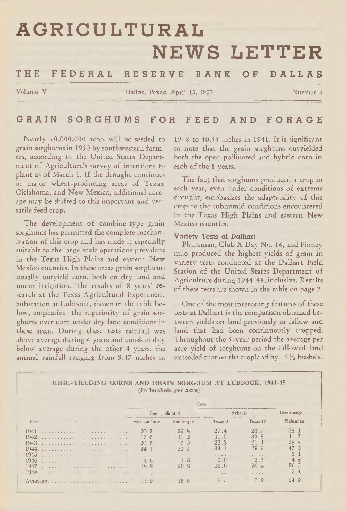# **AGRICULTURAL NEWS LETTER**

# **THE F E D E R A L R E S E R V E BANK OF DALLAS**

Volume V Dallas, Texas, April 15, 1950 Number 4

# **GRAIN SORGHUMS FOR FEED AND F O R A G E**

Nearly 10,000,000 acres will be seeded to grain sorghums in 1950 by southwestern farmers, according to the United States Department of Agriculture's survey of intentions to plant as of March 1. If the drought continues in major wheat-producing areas of Texas, Oklahoma, and New Mexico, additional acreage may be shifted to this important and versatile feed crop.

The development of combine-type grain sorghums has permitted the complete mechanization of this crop and has made it especially suitable to the large-scale operations prevalent in the Texas High Plains and eastern New Mexico counties. In these areas grain sorghums usually outyield corn, both on dry land and under irrigation. The results of 8 years' research at the Texas Agricultural Experiment Substation at Lubbock, shown in the table below, emphasize the superiority of grain sorghums over corn under dry land conditions in these areas. During these tests rainfall was above average during 4 years and considerably below average during the other 4 years, the annual rainfall ranging from 9.47 inches in

1948 to 40.5 5 inches in 1941. It is significant to note that the grain sorghums outyielded both the open-pollinated and hybrid corn in each of the 8 years.

The fact that sorghums produced a crop in each year, even under conditions of extreme drought, emphasizes the adaptability of this crop to the subhumid conditions encountered in the Texas High Plains and eastern New Mexico counties.

**Variety Tests at Dalhart** Plainsman, Club X Day No. 16, and Finney milo produced the highest yields of grain in variety tests conducted at the Dalhart Field Station of the United States Department of Agriculture during 1944-48, inclusive. Results of these tests are shown in the table on page 2.

One of the most interesting features of these tests at Dalhart is the comparison obtained between yields on land previously in fallow and land that had been continuously cropped. Throughout the 5-year period the average per acre yield of sorghums on the fallowed land exceeded that on the cropland by 1*6/2* bushels.

#### **HIGH-YIELDING CORNS AND GRAIN SORGHUM AT LUBBOCK, 1941-48 (In bushels per acre)**

|       | Open-pollinated |                     | vbrids              | Grain sorghum    |           |
|-------|-----------------|---------------------|---------------------|------------------|-----------|
| Year  | Mexican June    | Surcropper          | Texas 8             | Texas 12         | Plainsman |
|       | 20.2            | 29.8                | 27.4                | 23.7             | 38.4      |
| 1942. | 17.6            | 31 2                |                     | 39.8             |           |
|       | 20.6            |                     | 20.8                |                  | 28.8      |
|       | 24.3            | 23.1                | 33.1                | 29.9             |           |
|       | 1.1.1.1         |                     | $- - - - -$         | $-1 - 1 - 1 - 1$ | 3.4       |
|       | 4.6             | $-7 - 6 - 7$<br>1.5 | 2.9                 | 2.3              | 4.8       |
|       | 18.2            | 20.8                | 23.0                | 20.5             | 26.7      |
| 1948  |                 |                     |                     | 1.1.1            | 3.4       |
|       |                 | $+ - - -$           | $-1$ $-1$ $-1$ $-1$ |                  |           |
|       | 13.2            | 15.5                | 18.5                |                  |           |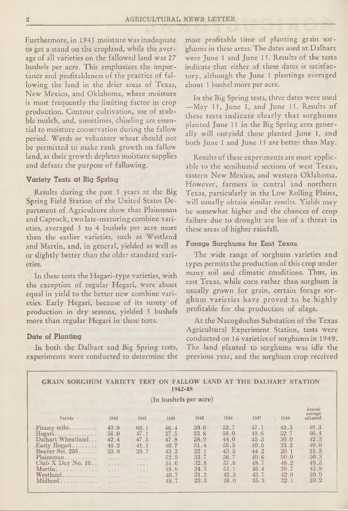Furthermore, in 1945 moisture was inadequate to get a stand on the cropland, while the average of all varieties on the fallowed land was 27 bushels per acre. This emphasizes the importance and profitableness of the practice of fallowing the land in the drier areas of Texas, New Mexico, and Oklahoma, where moisture is most frequently the limiting factor in crop production. Contour cultivation, use of stubble mulch, and, sometimes, chiseling are essential to moisture conservation during the fallow period. Weeds or volunteer wheat should not be permitted to make rank growth on fallow land, as their growth depletes moisture supplies and defeats the purpose of fallowing.

#### **Variety Tests at Big Spring**

Results during the past 5 years at the Big Spring Field Station of the United States Department of Agriculture show that Plainsman and Caprock, two late-maturing combine varieties, averaged 3 to 4 bushels per acre more than the earlier varieties, such as Westland and Martin, and, in general, yielded as well as or slightly better than the older standard varieties.

In these tests the Hegari-type varieties, with the exception of regular Hegari, were about equal in yield to the better new combine varieties. Early Hegari, because of its surety of production in dry seasons, yielded 5 bushels more than regular Hegari in these tests.

#### **Date of Planting**

In both the Dalhart and Big Spring tests, experiments were conducted to determine the

most profitable time of planting grain sorghums in these areas. The dates used at Dalhart were June 1 and June 15. Results of the tests indicate that either of these dates is satisfactory, although the June 1 plantings averaged about 1 bushel more per acre.

In the Big Spring tests, three dates were used —May 15, June 1, and June 15. Results of these tests indicate clearly that sorghums planted June 15 in the Big Spring area generally will outyield those planted June 1, and both June 1 and June 15 are better than May.

Results of these experiments are most applicable to the semihumid sections of west Texas, eastern New Mexico, and western Oklahoma. However, farmers in central and northern Texas, particularly in the Low Rolling Plains, will usually obtain similar results. Yields may be somewhat higher and the chances of crop failure due to drought are less of a threat in these areas of higher rainfall.

#### **Forage Sorghums for East Texas**

The wide range of sorghum varieties and types permits the production of this crop under many soil and climatic conditions. Thus, in east Texas, while corn rather than sorghum is usually grown for grain, certain forage sorghum varieties have proved to be highly profitable for the production of silage.

At the Nacogdoches Substation of the Texas Agricultural Experiment Station, tests were conducted on 16 varieties of sorghums in 1949. The land planted to sorghums was idle the previous year, and the sorghum crop received

| VARIETY TEST ON<br><b>FALLOW LAND AT THE DALHART STATION</b><br><b>GRAIN SORGHUM</b><br>1942-48                                                        |                                                                        |                                                                           |                                                                              |                                                                              |                                                                              |                                                                              |                                                                                         |                                                                              |  |  |  |  |  |
|--------------------------------------------------------------------------------------------------------------------------------------------------------|------------------------------------------------------------------------|---------------------------------------------------------------------------|------------------------------------------------------------------------------|------------------------------------------------------------------------------|------------------------------------------------------------------------------|------------------------------------------------------------------------------|-----------------------------------------------------------------------------------------|------------------------------------------------------------------------------|--|--|--|--|--|
| (In bushels per acre)                                                                                                                                  |                                                                        |                                                                           |                                                                              |                                                                              |                                                                              |                                                                              |                                                                                         |                                                                              |  |  |  |  |  |
| Variety                                                                                                                                                | 1942                                                                   | 1943                                                                      | 1944                                                                         | 1945                                                                         | 1946                                                                         | 1947                                                                         | 1948                                                                                    | Annual<br>ауегаде<br>adjusted                                                |  |  |  |  |  |
| Finney milo<br>Hegari<br>Dalhart Wheatland<br>Early Hegari<br>Beaver Sel. $255$ .<br>Plainsman<br>Club $X$ Day No. 16<br>Martin<br>Westland<br>Midland | 49.8<br>56.0<br>42.4<br>46.2<br>33.9<br>1.1.1.1<br>$-1.11$<br>$\cdots$ | 66.1<br>47.1<br>47.5<br>41.1<br>39.7<br>$-11111$<br>$-11 - 1$<br>$-7.7 -$ | 46.4<br>37.5<br>47.8<br>40.7<br>43.3<br>52.9<br>51.6<br>48.9<br>40.7<br>48.7 | 30.0<br>23.8<br>28.9<br>31.4<br>22.1<br>33.7<br>32.8<br>24.3<br>21.2<br>23.5 | 52.7<br>58.0<br>44.0<br>56.5<br>45.5<br>56.7<br>57.8<br>51.1<br>43.3<br>48.0 | 57.1<br>49.6<br>35.3<br>40.6<br>44.2<br>49.6<br>48.7<br>46.4<br>43.7<br>35.3 | 43.3<br>52.7<br>50.0<br>23.2<br>20 <sub>1</sub><br>50.0<br>48.2<br>39.7<br>42.0<br>32.1 | 49.3<br>46.4<br>42.3<br>40.0<br>35.5<br>50.3<br>49.5<br>43.8<br>39.9<br>39.2 |  |  |  |  |  |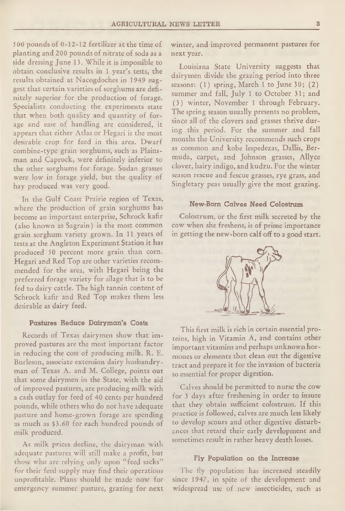500 pounds of 0-12-12 fertilizer at the time of planting and 200 pounds of nitrate of soda as a side dressing June 13. While it is impossible to obtain conclusive results in 1 year's tests, the results obtained at Nacogdoches in 1949 suggest that certain varieties of sorghums are definitely superior for the production of forage. Specialists conducting the experiments state that when both quality and quantity of forage and ease of handling are considered, it appears that either Atlas or Hegari is the most desirable crop for feed in this area. Dwarf combine-type grain sorghums, such as Plainsman and Caprock, were definitely inferior to the other sorghums for forage. Sudan grasses were low in forage yield, but the quality of hay produced was very good.

In the Gulf Coast Prairie region of Texas, where the production of grain sorghums has become an important enterprise, Schrock kafir (also known as Sagrain) is the most common grain sorghum variety grown. In 11 years of tests at the Angleton Experiment Station it has produced 50 percent more grain than corn. Hegari and Red Top are other varieties recommended for the area, with Hegari being the preferred forage variety for silage that is to be fed to dairy cattle. The high tannin content of Schrock kafir and Red Top makes them less desirable as dairy feed.

#### **Pastures Reduce Dairyman's Costs**

Records of Texas dairymen show that improved pastures are the most important factor in reducing the cost of producing milk. R. E. Burleson, associate extension dairy husbandryman of Texas A. and M. College, points out that some dairymen in the State, with the aid of improved pastures, are producing milk with a cash outlay for feed of 40 cents per hundred pasture and home-grown forage are spending as much as \$3.60 for each hundred pounds of milk produced.

As milk prices decline, the dairyman with adequate pastures will still make a profit, but those who are relying only upon "feed sacks" for their feed supply may find their operations unprofitable. Plans should be made now for emergency summer pasture, grazing for next

winter, and improved permanent pastures for next year.

Louisiana State University suggests that dairymen divide the grazing period into three seasons: (1) spring, March 1 to June 30; (2) summer and fall, July 1 to October 31; and (3) winter, November 1 through February. The spring season usually presents no problem, since all of the clovers and grasses thrive during this period. For the summer and fall months the University recommends such crops as common and kobe lespedezas, Dallis, Bermuda, carpet, and Johnson grasses, Allyce clover, hairy indigo, and kudzu. For the winter season rescue and fescue grasses, rye grass, and Singletary peas usually give the most grazing.

#### **New-Born Calves Need Colostrum**

Colostrum, or the first milk secreted by the cow when she freshens, is of prime importance in getting the new-born calf off to a good start.



This first milk is rich in certain essential proteins, high in Vitamin A, and contains other important vitamins and perhaps unknown hormones or elements that clean out the digestive tract and prepare it for the invasion of bacteria so essential for proper digestion.

Calves should be permitted to nurse the cow for 3 days after freshening in order to insure that they obtain sufficient colostrum. If this practice is followed, calves are much less likely to develop scours and other digestive disturbances that retard their early development and sometimes result in rather heavy death losses.

#### **Fly Population on the Increase**

The fly population has increased steadily since 1947, in spite of the development and widespread use of new insecticides, such as